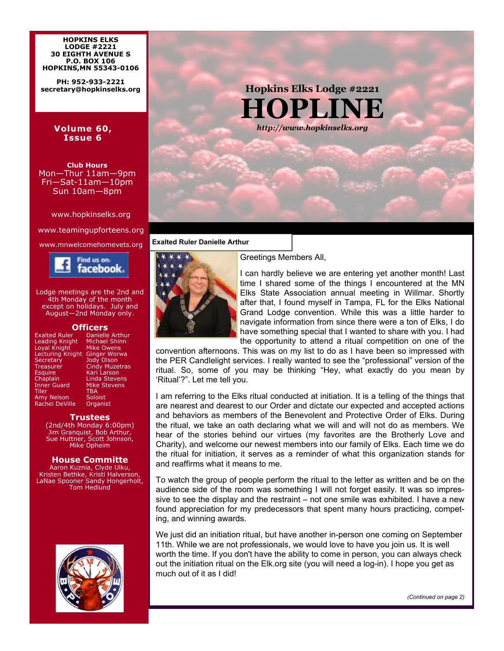**HOPKINS ELKS LODGE #2221 30 EIGHTH AVENUE S P.O. BOX 106 HOPKINS,MN 55343-0106** 

**PH: 952-933-2221 secretary@hopkinselks.org** 

#### **Volume 60, Issue 6**

**Club Hours**  Mon—Thur 11am—9pm Fri—Sat-11am—10pm Sun 10am—8pm

www.hopkinselks.org

www.teamingupforteens.org



Lodge meetings are the 2nd and 4th Monday of the month except on holidays. July and August—2nd Monday only.

#### **Officers**

| Danielle Arthur       |
|-----------------------|
| Michael Shinn         |
| <b>Mike Owens</b>     |
| <b>Ginger Worwa</b>   |
| <b>Jody Olson</b>     |
| <b>Cindy Muzetras</b> |
| Kari Larson           |
| <b>Linda Stevens</b>  |
| <b>Mike Stevens</b>   |
| <b>TBA</b>            |
| Soloist               |
| Organist              |
|                       |

#### **Trustees**

(2nd/4th Monday 6:00pm) Jim Granquist, Bob Arthur, Sue Huttner, Scott Johnson, Mike Opheim

#### **House Committe**

Aaron Kuznia, Clyde Ulku, Kristen Bethke, Kristi Halverson, LaNae Spooner Sandy Hongerholt, Tom Hedlund



**Hopkins Elks Lodge #2221 HOPLINE**  *http://www.hopkinselks.org* 

#### www.mnwelcomehomevets.org **Exalted Ruler Danielle Arthur**



Greetings Members All,

I can hardly believe we are entering yet another month! Last time I shared some of the things I encountered at the MN Elks State Association annual meeting in Willmar. Shortly after that, I found myself in Tampa, FL for the Elks National Grand Lodge convention. While this was a little harder to navigate information from since there were a ton of Elks, I do have something special that I wanted to share with you. I had the opportunity to attend a ritual competition on one of the

convention afternoons. This was on my list to do as I have been so impressed with the PER Candlelight services. I really wanted to see the "professional" version of the ritual. So, some of you may be thinking "Hey, what exactly do you mean by 'Ritual'?". Let me tell you.

I am referring to the Elks ritual conducted at initiation. It is a telling of the things that are nearest and dearest to our Order and dictate our expected and accepted actions and behaviors as members of the Benevolent and Protective Order of Elks. During the ritual, we take an oath declaring what we will and will not do as members. We hear of the stories behind our virtues (my favorites are the Brotherly Love and Charity), and welcome our newest members into our family of Elks. Each time we do the ritual for initiation, it serves as a reminder of what this organization stands for and reaffirms what it means to me.

To watch the group of people perform the ritual to the letter as written and be on the audience side of the room was something I will not forget easily. It was so impressive to see the display and the restraint – not one smile was exhibited. I have a new found appreciation for my predecessors that spent many hours practicing, competing, and winning awards.

We just did an initiation ritual, but have another in-person one coming on September 11th. While we are not professionals, we would love to have you join us. It is well worth the time. If you don't have the ability to come in person, you can always check out the initiation ritual on the Elk.org site (you will need a log-in). I hope you get as much out of it as I did!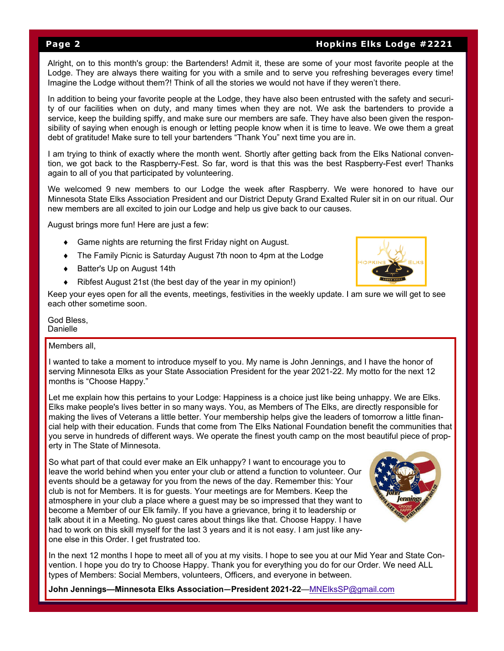#### **Page 2 Hopkins Elks Lodge #2221**

Alright, on to this month's group: the Bartenders! Admit it, these are some of your most favorite people at the Lodge. They are always there waiting for you with a smile and to serve you refreshing beverages every time! Imagine the Lodge without them?! Think of all the stories we would not have if they weren't there.

In addition to being your favorite people at the Lodge, they have also been entrusted with the safety and security of our facilities when on duty, and many times when they are not. We ask the bartenders to provide a service, keep the building spiffy, and make sure our members are safe. They have also been given the responsibility of saying when enough is enough or letting people know when it is time to leave. We owe them a great debt of gratitude! Make sure to tell your bartenders "Thank You" next time you are in.

I am trying to think of exactly where the month went. Shortly after getting back from the Elks National convention, we got back to the Raspberry-Fest. So far, word is that this was the best Raspberry-Fest ever! Thanks again to all of you that participated by volunteering.

We welcomed 9 new members to our Lodge the week after Raspberry. We were honored to have our Minnesota State Elks Association President and our District Deputy Grand Exalted Ruler sit in on our ritual. Our new members are all excited to join our Lodge and help us give back to our causes.

August brings more fun! Here are just a few:

- Game nights are returning the first Friday night on August.
- The Family Picnic is Saturday August 7th noon to 4pm at the Lodge
- ◆ Batter's Up on August 14th
- Ribfest August 21st (the best day of the year in my opinion!)

Keep your eyes open for all the events, meetings, festivities in the weekly update. I am sure we will get to see each other sometime soon.

God Bless, Danielle

Members all

I wanted to take a moment to introduce myself to you. My name is John Jennings, and I have the honor of serving Minnesota Elks as your State Association President for the year 2021-22. My motto for the next 12 months is "Choose Happy."

Let me explain how this pertains to your Lodge: Happiness is a choice just like being unhappy. We are Elks. Elks make people's lives better in so many ways. You, as Members of The Elks, are directly responsible for making the lives of Veterans a little better. Your membership helps give the leaders of tomorrow a little financial help with their education. Funds that come from The Elks National Foundation benefit the communities that you serve in hundreds of different ways. We operate the finest youth camp on the most beautiful piece of property in The State of Minnesota.

So what part of that could ever make an Elk unhappy? I want to encourage you to leave the world behind when you enter your club or attend a function to volunteer. Our events should be a getaway for you from the news of the day. Remember this: Your club is not for Members. It is for guests. Your meetings are for Members. Keep the atmosphere in your club a place where a guest may be so impressed that they want to become a Member of our Elk family. If you have a grievance, bring it to leadership or talk about it in a Meeting. No guest cares about things like that. Choose Happy. I have had to work on this skill myself for the last 3 years and it is not easy. I am just like anyone else in this Order. I get frustrated too.



**John Jennings—Minnesota Elks Association—President 2021-22**—MNElksSP@gmail.com



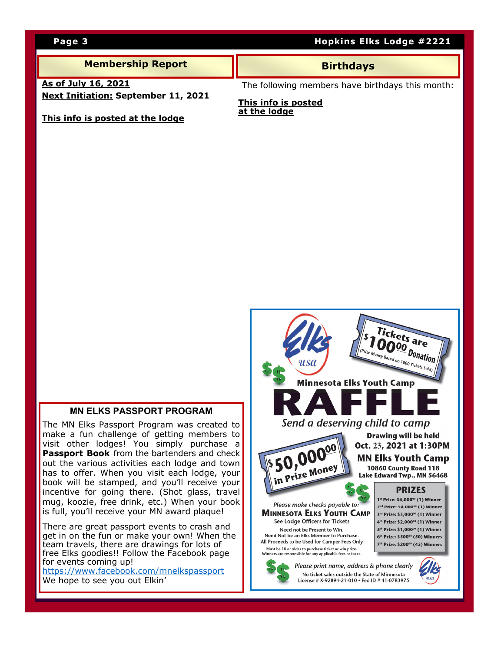### **Membership Report All All Birthdays**

**As of July 16, 2021 Next Initiation: September 11, 2021** 

**This info is posted at the lodge**

The following members have birthdays this month:

#### **This info is posted at the lodge**

#### **MN ELKS PASSPORT PROGRAM**

The MN Elks Passport Program was created to make a fun challenge of getting members to visit other lodges! You simply purchase a **Passport Book** from the bartenders and check out the various activities each lodge and town has to offer. When you visit each lodge, your book will be stamped, and you'll receive your incentive for going there. (Shot glass, travel mug, koozie, free drink, etc.) When your book is full, you'll receive your MN award plaque!

There are great passport events to crash and get in on the fun or make your own! When the team travels, there are drawings for lots of free Elks goodies!! Follow the Facebook page for events coming up!

https://www.facebook.com/mnelkspassport We hope to see you out Elkin'



### **Page 3 Hopkins Elks Lodge #2221**